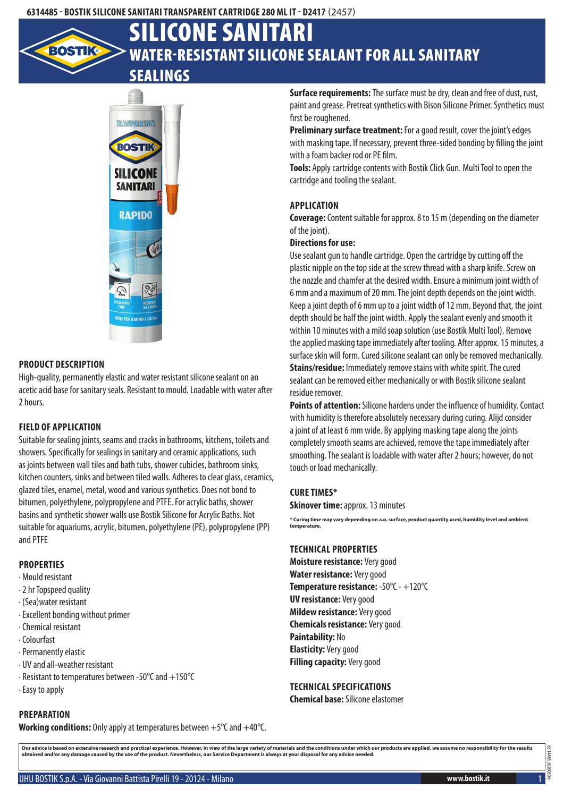

# Water-resistant silicone sealant for all sanitary Silicone Sanitari

# sealings



#### **Product description**

High-quality, permanently elastic and water resistant silicone sealant on an acetic acid base for sanitary seals. Resistant to mould. Loadable with water after 2 hours.

#### **Field of application**

Suitable for sealing joints, seams and cracks in bathrooms, kitchens, toilets and showers. Specifically for sealings in sanitary and ceramic applications, such as joints between wall tiles and bath tubs, shower cubicles, bathroom sinks, kitchen counters, sinks and between tiled walls. Adheres to clear glass, ceramics, glazed tiles, enamel, metal, wood and various synthetics. Does not bond to bitumen, polyethylene, polypropylene and PTFE. For acrylic baths, shower basins and synthetic shower walls use Bostik Silicone for Acrylic Baths. Not suitable for aquariums, acrylic, bitumen, polyethylene (PE), polypropylene (PP) and PTFE

# **Properties**

- · Mould resistant
- · 2 hr Topspeed quality
- · (Sea)water resistant
- · Excellent bonding without primer
- · Chemical resistant
- · Colourfast
- · Permanently elastic
- · UV and all-weather resistant
- · Resistant to temperatures between -50°C and +150°C
- · Easy to apply

## **Preparation**

**Working conditions:** Only apply at temperatures between +5°C and +40°C.

**Surface requirements:** The surface must be dry, clean and free of dust, rust, paint and grease. Pretreat synthetics with Bison Silicone Primer. Synthetics must first be roughened.

**Preliminary surface treatment:** For a good result, cover the joint's edges with masking tape. If necessary, prevent three-sided bonding by filling the joint with a foam backer rod or PE film.

**Tools:** Apply cartridge contents with Bostik Click Gun. Multi Tool to open the cartridge and tooling the sealant.

### **Application**

**Coverage:** Content suitable for approx. 8 to 15 m (depending on the diameter of the joint).

### **Directions for use:**

Use sealant gun to handle cartridge. Open the cartridge by cutting off the plastic nipple on the top side at the screw thread with a sharp knife. Screw on the nozzle and chamfer at the desired width. Ensure a minimum joint width of 6 mm and a maximum of 20 mm. The joint depth depends on the joint width. Keep a joint depth of 6 mm up to a joint width of 12 mm. Beyond that, the joint depth should be half the joint width. Apply the sealant evenly and smooth it within 10 minutes with a mild soap solution (use Bostik Multi Tool). Remove the applied masking tape immediately after tooling. After approx. 15 minutes, a surface skin will form. Cured silicone sealant can only be removed mechanically. **Stains/residue:** Immediately remove stains with white spirit. The cured sealant can be removed either mechanically or with Bostik silicone sealant residue remover.

**Points of attention:** Silicone hardens under the influence of humidity. Contact with humidity is therefore absolutely necessary during curing. Alijd consider a joint of at least 6 mm wide. By applying masking tape along the joints completely smooth seams are achieved, remove the tape immediately after smoothing. The sealant is loadable with water after 2 hours; however, do not touch or load mechanically.

#### **Cure times\***

**Skinover time: approx. 13 minutes** 

**\* Curing time may vary depending on a.o. surface, product quantity used, humidity level and ambient temperature.**

#### **Technical properties**

**Moisture resistance:** Very good **Water resistance:** Very good **Temperature resistance:** -50°C - +120°C **UV resistance:** Very good **Mildew resistance:** Very good **Chemicals resistance:** Very good **Paintability:** No **Elasticity:** Very good **Filling capacity:** Very good

**Technical specifications**

**Chemical base:** Silicone elastomer

Our advice is based on extensive research and practical experience. However, in view of the large variety of materials and the conditions under which our products are applied, we assume no responsibility for the results<br>ob

6314485 20200306

6314485